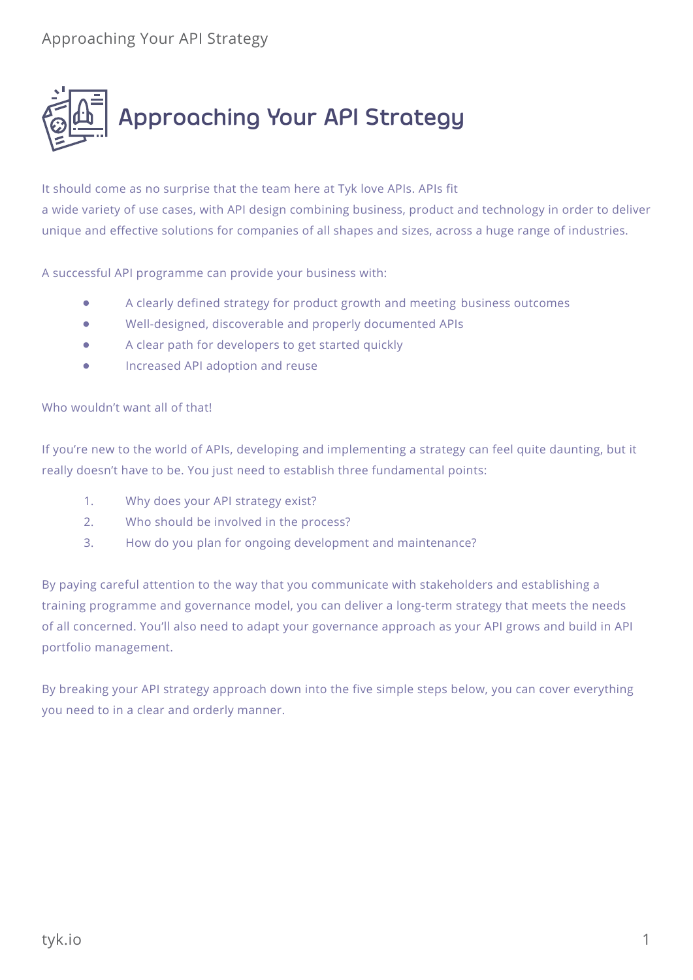## Approaching Your API Strategy



It should come as no surprise that the team here at Tyk love APIs. APIs fit a wide variety of use cases, with API design combining business, product and technology in order to deliver unique and effective solutions for companies of all shapes and sizes, across a huge range of industries.

A successful API programme can provide your business with:

- A clearly defined strategy for product growth and meeting business outcomes
- Well-designed, discoverable and properly documented APIs
- A clear path for developers to get started quickly
- Increased API adoption and reuse

Who wouldn't want all of that!

If you're new to the world of APIs, developing and implementing a strategy can feel quite daunting, but it really doesn't have to be. You just need to establish three fundamental points:

- 1. Why does your API strategy exist?
- 2. Who should be involved in the process?
- 3. How do you plan for ongoing development and maintenance?

By paying careful attention to the way that you communicate with stakeholders and establishing a training programme and governance model, you can deliver a long-term strategy that meets the needs of all concerned. You'll also need to adapt your governance approach as your API grows and build in API portfolio management.

By breaking your API strategy approach down into the five simple steps below, you can cover everything you need to in a clear and orderly manner.